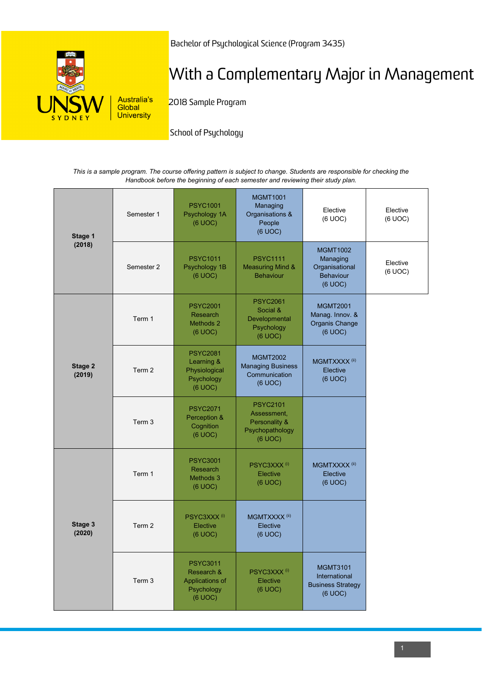

Bachelor of Psychological Science (Program 3435)

## With a Complementary Major in Management

2018 Sample Program

School of Psychology

*This is a sample program. The course offering pattern is subject to change. Students are responsible for checking the Handbook before the beginning of each semester and reviewing their study plan.*

| Stage 1<br>(2018) | Semester 1 | <b>PSYC1001</b><br>Psychology 1A<br>(6 UOC)                               | <b>MGMT1001</b><br>Managing<br>Organisations &<br>People<br>(6 UOC)           | Elective<br>(6 UOC)                                                     | Elective<br>(6 UOC) |
|-------------------|------------|---------------------------------------------------------------------------|-------------------------------------------------------------------------------|-------------------------------------------------------------------------|---------------------|
|                   | Semester 2 | <b>PSYC1011</b><br>Psychology 1B<br>(6 UOC)                               | <b>PSYC1111</b><br><b>Measuring Mind &amp;</b><br><b>Behaviour</b>            | <b>MGMT1002</b><br>Managing<br>Organisational<br>Behaviour<br>(6 UOC)   | Elective<br>(6 UOC) |
| Stage 2<br>(2019) | Term 1     | <b>PSYC2001</b><br>Research<br>Methods 2<br>(6 UOC)                       | <b>PSYC2061</b><br>Social &<br>Developmental<br>Psychology<br>(6 UOC)         | <b>MGMT2001</b><br>Manag. Innov. &<br>Organis Change<br>(6 UOC)         |                     |
|                   | Term 2     | <b>PSYC2081</b><br>Learning &<br>Physiological<br>Psychology<br>(6 UOC)   | <b>MGMT2002</b><br><b>Managing Business</b><br>Communication<br>(6 UOC)       | MGMTXXXX <sup>(ii)</sup><br>Elective<br>(6 UOC)                         |                     |
|                   | Term 3     | <b>PSYC2071</b><br>Perception &<br>Cognition<br>(6 UOC)                   | <b>PSYC2101</b><br>Assessment,<br>Personality &<br>Psychopathology<br>(6 UOC) |                                                                         |                     |
| Stage 3<br>(2020) | Term 1     | <b>PSYC3001</b><br>Research<br>Methods 3<br>(6 UOC)                       | PSYC3XXX <sup>(i)</sup><br>Elective<br>(6 UOC)                                | MGMTXXXX <sup>(ii)</sup><br>Elective<br>(6 UOC)                         |                     |
|                   | Term 2     | PSYC3XXX <sup>(i)</sup><br>Elective<br>(6 UOC)                            | MGMTXXXX <sup>(ii)</sup><br>Elective<br>(6 UOC)                               |                                                                         |                     |
|                   | Term 3     | <b>PSYC3011</b><br>Research &<br>Applications of<br>Psychology<br>(6 UOC) | PSYC3XXX <sup>(i)</sup><br>Elective<br>(6 UOC)                                | <b>MGMT3101</b><br>International<br><b>Business Strategy</b><br>(6 UOC) |                     |